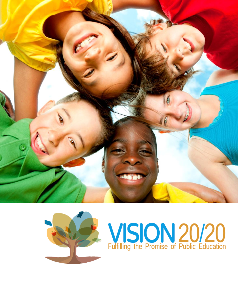



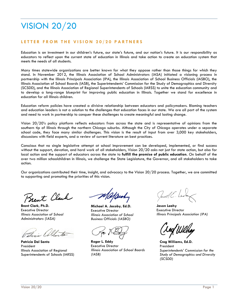## VISION 20/20

### **L E T T E R F R O M T H E V I S I O N 2 0 / 2 0 P A R T N E R S**

Education is an investment in our children's future, our state's future, and our nation's future. It is our responsibility as educators to reflect upon the current state of education in Illinois and take action to create an education system that meets the needs of all students.

Many times statewide organizations are better known for what they oppose rather than those things for which they stand. In November 2012, the Illinois Association of School Administrators (IASA) initiated a visioning process in partnership with the Illinois Principals Association (IPA), the Illinois Association of School Business Officials (IASBO), the Illinois Association of School Boards (IASB), the Superintendents' Commission for the Study of Demographics and Diversity (SCSDD), and the Illinois Association of Regional Superintendents of Schools (IARSS) to unite the education community and to develop a long-range blueprint for improving public education in Illinois. Together we stand for excellence in education for all Illinois children.

Education reform policies have created a divisive relationship between educators and policymakers. Blaming teachers and education leaders is not a solution to the challenges that education faces in our state. We are all part of the system and need to work in partnership to conquer these challenges to create meaningful and lasting change.

Vision 20/20's policy platform reflects educators from across the state and is representative of opinions from the southern tip of Illinois through the northern Chicago suburbs. Although the City of Chicago operates under a separate school code, they face many similar challenges. This vision is the result of input from over 3,000 key stakeholders, discussions with field experts, and a review of current literature on best practices.

Conscious that no single legislative attempt at school improvement can be developed, implemented, or find success without the support, devotion, and hard work of all stakeholders, Vision 20/20 asks not just for state action, but also for local action and the support of educators across the state to **fulfill the promise of public education**. On behalf of the over two million schoolchildren in Illinois, we challenge the State Legislature, the Governor, and all stakeholders to take action.

Our organizations contributed their time, insight, and advocacy to the Vision 20/20 process. Together, we are committed to supporting and promoting the priorities of this vision.

Brent Clark

**Brent Clark, Ph.D.** Executive Director *Illinois Association of School Administrators (IASA)*

atrece

**Patricia Dal Santo** President Illinois Association of Regional Superintendents of Schools (IARSS)

**Michael A. Jacoby, Ed.D.** Executive Director *Illinois Association of School Business Officials (IASBO)*

**Roger L. Eddy** Executive Director *Illinois Association of School Boards (IASB)*

**Jason Leahy** Executive Director *Illinois Principals Association (IPA)*

**Creg Williams, Ed.D.** President *Superintendents' Commission for the Study of Demographics and Diversity (SCSDD)*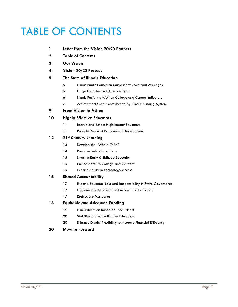## TABLE OF CONTENTS

- **Letter from the Vision 20/20 Partners**
- **Table of Contents**
- **Our Vision**
- **Vision 20/20 Process**

### **The State of Illinois Education**

- Illinois Public Education Outperforms National Averages
- Large Inequities in Education Exist
- Illinois Performs Well on College and Career Indicators
- Achievement Gap Exacerbated by Illinois' Funding System

### **From Vision to Action**

### **Highly Effective Educators**

- Recruit and Retain High-Impact Educators
- Provide Relevant Professional Development

### **21st Century Learning**

- 14 Develop the "Whole Child"
- 14 Preserve Instructional Time
- 15 Invest in Early Childhood Education
- Link Students to College and Careers
- Expand Equity in Technology Access

### **Shared Accountability**

- Expand Educator Role and Responsibility in State Governance
- 17 Implement a Differentiated Accountability System
- Restructure Mandates

### **Equitable and Adequate Funding**

- Fund Education Based on Local Need
- 20 Stabilize State Funding for Education
- Enhance District Flexibility to Increase Financial Efficiency

### **Moving Forward**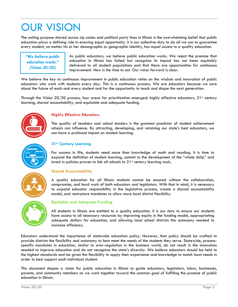## OUR VISION

The uniting purpose shared across zip codes and political party lines in Illinois is the overwhelming belief that public education plays a defining role in ensuring equal opportunity. It is our collective duty to do all we can to guarantee every student, no matter his or her demographic or geographic identity, has equal access to a quality education.

*"We believe public education works." (Vision 20/20)*

As public educators, we believe public education works. We reject the premise that education in Illinois has failed but recognize its impact has not been equitably delivered to all student populations and that there are opportunities for continuous improvement. Now is the time to act. Our vision forward is clear.

We believe the key to continuous improvement in public education relies on the wisdom and innovation of public educators who work with students every day. This is a continuous process. We are educators because we care about the future of each and every student and for the opportunity to teach and shape the next generation.

Through the Vision 20/20 process, four areas for prioritization emerged: highly effective educators,  $21<sup>st</sup>$  century learning, shared accountability, and equitable and adequate funding.



### **Highly Effective Educators**

The quality of teachers and school leaders is the greatest predictor of student achievement schools can influence. By attracting, developing, and retaining our state's best educators, we can have a profound impact on student learning.



### **21st Century Learning**

For success in life, students need more than knowledge of math and reading. It is time to expand the definition of student learning, commit to the development of the "whole child," and invest in policies proven to link all schools to 21<sup>st</sup> century learning tools.

### **Shared Accountability**

A quality education for all Illinois students cannot be ensured without the collaboration, compromise, and hard work of both educators and legislators. With that in mind, it is necessary to expand educator responsibility in the legislative process, create a shared accountability model, and restructure mandates to allow more local district flexibility.



#### **Equitable and Adequate Funding**

All students in Illinois are entitled to a quality education. It is our duty to ensure our students have access to all necessary resources by improving equity in the funding model, appropriating adequate dollars for education, and allowing local school districts the autonomy needed to increase efficiency.

Educators understand the importance of statewide education policy. However, that policy should be crafted to provide districts the flexibility and autonomy to best meet the needs of the students they serve. Statewide, processspecific mandates in education, similar to over-regulation in the business world, do not result in the innovation needed to improve education and do not recognize the state's diversity. We believe educators should be held to the highest standards and be given the flexibility to apply their experience and knowledge to match local needs in order to best support each individual student.

This document shapes a vision for public education in Illinois to guide educators, legislators, labor, businesses, parents, and community members as we work together toward the common goal of fulfilling the promise of public education in Illinois.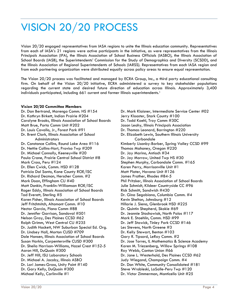# VISION 20/20 PROCESS

Vision 20/20 engaged representatives from IASA regions to unite the Illinois education community. Representatives from each of IASA's 21 regions were active participants in the initiative, as were representatives from the Illinois Principals Association (IPA), the Illinois Association of School Business Officials (IASBO), the Illinois Association of School Boards (IASB), the Superintendents' Commission for the Study of Demographics and Diversity (SCSDD), and the Illinois Association of Regional Superintendents of Schools (IARSS). Representatives from each IASA region and from each partnering organization were distributed equally across policy areas to ensure equal representation.

The Vision 20/20 process was facilitated and managed by ECRA Group, Inc., a third party educational consulting firm. On behalf of the Vision 20/20 initiative, ECRA administered a survey to key stakeholder populations regarding the current state and desired future direction of education across Illinois. Approximately 3,400 individuals participated, including 661 current and former Illinois superintendents.<sup>1</sup>

### **Vision 20/20 Committee Members**

Dr. Dan Bertrand, Marengo Comm. HS #154 Dr. Kathryn Birkett, Indian Prairie #204 Carolyne Brooks, Illinois Association of School Boards Matt Brue, Porta Comm Unit #202 Dr. Louis Cavallo, Jr., Forest Park #91 Dr. Brent Clark, Illinois Association of School Administrators Dr. Constance Collins, Round Lake Area #116 Dr. Nettie Collins-Hart, Proviso Twp #209 Dr. Michael Connolly, Keeneyville #20 Paula Crane, Prairie Central School District #8 Mark Cross, Peru #124 Dr. Ellen Cwick, Comm. HSD #128 Patricia Dal Santo, Kane County ROE/ISC Dr. Richard Decman, Herscher Comm. #2 Mark Doan, Effingham CU #40 Matt Donkin, Franklin-Williamson ROE/ISC Roger Eddy, Illinois Association of School Boards Tad Everett, Sterling #5 Karen Fisher, Illinois Association of School Boards Jeff Fritchtnitch, Altamont Comm. #10 Hector Garcia, Plano Comm #88 Dr. Jennifer Garrison, Sandoval #501 Nelson Gray, Des Plaines CCSD #62 Ralph Grimm, West Central CU #235 Dr. Judith Hackett, NW Suburban Special Ed. Org. Dr. Lindsey Hall, Morton CUSD #709 Dale Hansen, Illinois Association of School Boards Susan Harkin, Carpentersville CUSD #300 Dr. Sheila Harrison-Williams, Hazel Crest #152-5 Aaron Hill, DuQuoin #300 Dr. Jeff Hill, ISU Laboratory Schools Dr. Michael A. Jacoby, Illinois ASBO Dr. Lori James-Gross, Unity Point #140 Dr. Gary Kelly, DuQuoin #300 Michael Kelly, Carlinville #1

Dr. Mark Klaisner, Intermediate Service Center #02 Jerry Klooster, Stark County #100 Dr. Todd Koehl, Troy Comm #30C Jason Leahy, Illinois Principals Association Dr. Thomas Leonard, Barrington #220 Dr. Elizabeth Lewin, Southern Illinois University Carbondale Kimberly Lisanby-Barber, Spring Valley CCSD #99 Thomas Mahoney, Oregon #220 Dr. Jay Marino, Antioch #34 Dr. Jay Morrow, United Twp HS #30 Stephen Murphy, Carbondale Comm. #165 Karen Perry, Morrisonville Unit #1 Matt Plater, Havana Unit #126 James Prather, Rhodes #84-5 Phil Pritzker, Illinois Association of School Boards Julie Schmidt, Kildeer Countryside CC #96 Rick Schmitt, Sandwich #430 Dr. Gina Segobiano, Columbia Comm. #4 Kevin Shelton, Johnsburg #12 Hillarie J. Siena, Glenbrook HSD #225 Dr. Quintin Shepherd, Skokie #69 Dr. Jeannie Stachowiak, North Palos #117 Mark E. Staehlin, Comm. HSD #99 Dr. Jeff Stawick, Tinley Park CCSD #146 Les Stevens, North Greene #3 Dr. Kelly Stewart, Benton #103 Gary R. Tipsord, LeRoy Comm. #2 Dr. Jose Torres, IL Mathematics & Science Academy Karen M. Triezenberg, Willow Springs #108 Roy Webb, Canton Union #66 Dr. Jane L. Westerhold, Des Plaines CCSD #62 Judy Wiegand, Champaign Comm. #4 Dr. Don White, Community Consolidated #181 Steve Wrobleski, LaSalle-Peru Twp #120 Dr. Victor Zimmerman, Monticello Unit #25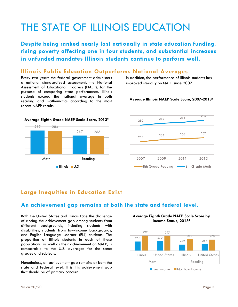## THE STATE OF ILLINOIS EDUCATION

**Despite being ranked nearly last nationally in state education funding, rising poverty affecting one in four students, and substantial increases in unfunded mandates Illinois students continue to perform well.**

### **Illinois Public Education Outperforms National Averages**

Every two years the federal government administers a national standardized assessment, the National Assessment of Educational Progress (NAEP), for the purpose of comparing state performance. Illinois students exceed the national average in both reading and mathematics according to the most recent NAEP results.



### **Average Illinois NAEP Scale Score, 2007-2013<sup>3</sup>**





## **Large Inequities in Education Exist**

## **An achievement gap remains at both the state and federal level.**

Both the United States and Illinois face the challenge of closing the achievement gap among students from different backgrounds, including students with disabilities, students from low-income backgrounds, and English Language Learner (ELL) students. The proportion of Illinois students in each of these populations, as well as their achievement on NAEP, is comparable to the U.S. averages for the same grades and subjects.

Nonetheless, an achievement gap remains at both the state and federal level. It is this achievement gap that should be of primary concern.

**Average Eighth Grade NAEP Scale Score by Income Status, 2013<sup>4</sup>**

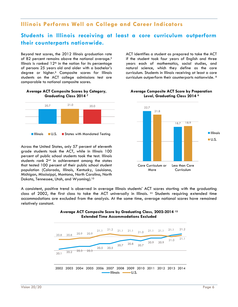## **Illinois Performs Well on College and Career Indicators**

### **Students in Illinois receiving at least a core curriculum outperform their counterparts nationwide.**

Beyond test scores, the 2012 Illinois graduation rate of 82 percent remains above the national average.<sup>5</sup> Illinois is ranked  $12<sup>th</sup>$  in the nation for its percentage of persons 25 years old and older with a bachelor's degree or higher.<sup>6</sup> Composite scores for Illinois students on the ACT college admissions test are comparable to national composite scores.

#### **Average ACT Composite Scores by Category, Graduating Class 2014 <sup>7</sup>**



Across the United States, only 57 percent of eleventh grade students took the ACT, while in Illinois 100 percent of public school students took the test. Illinois students rank 2<sup>nd</sup> in achievement amona the states that tested 100 percent of their public school student population (Colorado, Illinois, Kentucky, Louisiana, Michigan, Mississippi, Montana, North Carolina, North Dakota, Tennessee, Utah, and Wyoming).<sup>10</sup>

ACT identifies a student as prepared to take the ACT if the student took four years of English and three years each of mathematics, social studies, and natural science, which they define as the core curriculum. Students in Illinois receiving at least a core curriculum outperform their counterparts nationwide. 8



#### **Average Composite ACT Score by Preparation Level, Graduating Class 2014 <sup>9</sup>**

A consistent, positive trend is observed in average Illinois students' ACT scores starting with the graduating class of 2002, the first class to take the ACT universally in Illinois. **<sup>11</sup>** Students requiring extended time accommodations are excluded from the analysis. At the same time, average national scores have remained relatively constant.



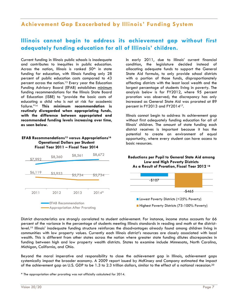## **Achievement Gap Exacerbated by Illinois' Funding System**

## **Illinois cannot begin to address its achievement gap without first adequately funding education for all of Illinois' children.**

Current funding in Illinois public schools is inadequate and contributes to inequities in public education. Across the nation, Illinois is ranked  $50<sup>th</sup>$  in state funding for education, with Illinois funding only 28 percent of public education costs compared to 43 percent across the nation.<sup>13</sup> Every year the Education Funding Advisory Board (EFAB) establishes minimum funding recommendations for the Illinois State Board of Education (ISBE) to "provide the basic costs of educating a child who is not at risk for academic failure." <sup>14</sup> **This minimum recommendation is routinely disregarded when appropriating funds, with the difference between appropriated and recommended funding levels increasing over time**, **as seen below.**

#### **EFAB Recommendations<sup>15</sup> versus Appropriations<sup>16</sup> Operational Dollars per Student Fiscal Year 2011 – Fiscal Year 2014**



In early 2011, due to Illinois' current financial condition, the legislature decided instead of allocating adequate funds to support the General State Aid formula, to only provide school districts with a portion of those funds, disproportionately affecting districts with the least local wealth and the largest percentage of students living in poverty. The analysis below is for FY2012, where 95 percent proration was observed; the discrepancy has only increased as General State Aid was prorated at 89 percent in FY2013 and FY201417.

Illinois cannot begin to address its achievement gap without first adequately funding education for all of Illinois' children. The amount of state funding each district receives is important because it has the potential to create an environment of equal opportunity, where every student can have access to basic resources.

#### **Reductions per Pupil to General State Aid among Low and High Poverty Districts As a Result of Proration, Fiscal Year 2012 <sup>18</sup>**



District characteristics are strongly correlated to student achievement. For instance, income status accounts for 66 percent of the variance in the percentage of students meeting Illinois standards in reading and math at the districtlevel.<sup>19</sup> Illinois' inadequate funding structure reinforces the disadvantages already found among children living in communities with low property values. Currently each Illinois district's resources are closely associated with local wealth. This is different from other states across the nation where greater state funding dilutes discrepancies in funding between high and low property wealth districts. States to examine include Minnesota, North Carolina, Michigan, California, and Ohio.

Beyond the moral imperative and responsibility to close the achievement gap in Illinois, achievement gaps systemically impact the broader economy. A 2009 report issued by McKinsey and Company estimated the impact of the achievement gap on U.S. GDP to be 1.3 to 2.3 trillion dollars, similar to the effect of a national recession.<sup>20</sup>

<sup>\*</sup> The appropriation after prorating was not officially calculated for 2014.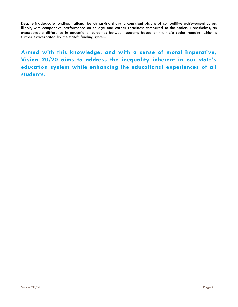Despite inadequate funding, national benchmarking shows a consistent picture of competitive achievement across Illinois, with competitive performance on college and career readiness compared to the nation. Nonetheless, an unacceptable difference in educational outcomes between students based on their zip codes remains, which is further exacerbated by the state's funding system.

**Armed with this knowledge, and with a sense of moral imperative, Vision 20/20 aims to address the inequality inherent in our state's education system while enhancing the educational experiences of all students.**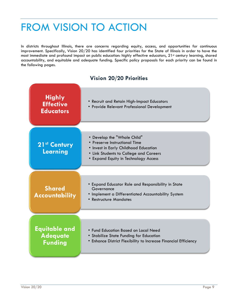## FROM VISION TO ACTION

In districts throughout Illinois, there are concerns regarding equity, access, and opportunities for continuous improvement. Specifically, Vision 20/20 has identified four priorities for the State of Illinois in order to have the most immediate and profound impact on public education: highly effective educators, 21st century learning, shared accountability, and equitable and adequate funding. Specific policy proposals for each priority can be found in the following pages.

### **Vision 20/20 Priorities**

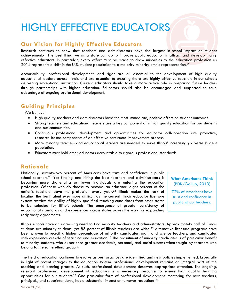## HIGHLY EFFECTIVE EDUCATORS

### **Our Vision for Highly Effective Educators**

Research continues to show that teachers and administrators have the largest in-school impact on student achievement.<sup>21</sup> The best thing we as a state can do to improve public education is attract and develop highly effective educators. In particular, every effort must be made to draw minorities to the education profession as 2014 represents a shift in the U.S. student population to a majority-minority ethnic representation.<sup>22</sup>

Accountability, professional development, and rigor are all essential to the development of high quality educational leaders across Illinois and are essential to ensuring there are highly effective teachers in our schools delivering exceptional instruction. Current educators should take a more active role in preparing future leaders through partnerships with higher education. Educators should also be encouraged and supported to take advantage of ongoing professional development.

## **Guiding Principles**

We believe:

- High quality teachers and administrators have the most immediate, positive effect on student outcomes.
- Strong teachers and educational leaders are a key component of a high quality education for our students and our communities.
- Continuous professional development and opportunities for educator collaboration are proactive, research-based components of an effective continuous improvement process.
- More minority teachers and educational leaders are needed to serve Illinois' increasingly diverse student population.
- Educators must hold other educators accountable to rigorous professional standards.

### **Rationale**

Nationally, seventy-two percent of Americans have trust and confidence in public school teachers.<sup>23</sup> Yet finding and hiring the best teachers and administrators is becoming more challenging as fewer individuals are entering the education profession. Of those who do choose to become an educator, eight percent of the nation's teachers leave the profession every year.<sup>24</sup> Illinois makes the task of locating the best talent ever more difficult as the current Illinois educator licensure system restricts the ability of highly qualified teaching candidates from other states to be selected for Illinois schools. The emergence of greater consistency of educational standards and experiences across states paves the way for expanding reciprocity agreements.

**What Americans Think** (PDK/Gallup, 2013)

72% of Americans have trust and confidence in public school teachers.

Illinois schools have an increasing need to find minority teachers and administrators. Approximately half of Illinois students are minority students, yet 83 percent of Illinois teachers are white.<sup>25</sup> Alternative licensure programs have been proven to recruit a higher percentage of minority candidates, math and science teachers, and candidates with experience outside of teaching and education.<sup>26</sup> The recruitment of minority candidates is of particular benefit to minority students, who experience greater academic, personal, and social success when taught by teachers who belong to the same ethnic group.<sup>27</sup>

The field of education continues to evolve as best practices are identified and new policies implemented. Especially in light of recent changes to the education system, professional development remains an integral part of the teaching and learning process. As such, professional development deserves appropriate attention. The ongoing, relevant professional development of educators is a necessary resource to ensure high quality learning opportunities for our students.<sup>28</sup> One particular form of professional development, mentoring for new teachers, principals, and superintendents, has a substantial impact on turnover reductions.<sup>29</sup>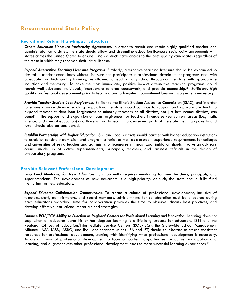## **Recommended State Policy**

### **Recruit and Retain High-Impact Educators**

*Create Education Licensure Reciprocity Agreements.* In order to recruit and retain highly qualified teacher and administrator candidates, the state should allow and streamline education licensure reciprocity agreements with states across the United States to ensure Illinois districts have access to the best quality candidates regardless of the state in which they received their initial license.

*Expand Alternative Teaching Licensure Programs.* Similarly, alternative teaching licensure should be expanded so desirable teacher candidates without licensure can participate in professional development programs and, with adequate and high quality training, be allowed to teach at any school throughout the state with appropriate induction and mentoring. To have the most immediate, positive impact alternative teaching programs should recruit well-educated individuals, incorporate tailored coursework, and provide mentorship.<sup>30</sup> Sufficient, high quality professional development prior to teaching and a long-term commitment beyond two years is necessary.

*Provide Teacher Student Loan Forgiveness.* Similar to the Illinois Student Assistance Commission (ISAC), and in order to ensure a more diverse teaching population, the state should continue to support and appropriate funds to expand teacher student loan forgiveness so minority teachers at all districts, not just low-income districts, can benefit. The support and expansion of loan forgiveness for teachers in underserved content areas (i.e., math, science, and special education) and those willing to teach in underserved parts of the state (i.e., high poverty and rural) should also be considered.

*Establish Partnerships with Higher Education.* ISBE and local districts should partner with higher education institutions to establish consistent admission and program criteria, as well as classroom experience requirements for colleges and universities offering teacher and administrator licensures in Illinois. Each institution should involve an advisory council made up of active superintendents, principals, teachers, and business officials in the design of preparatory programs.

### **Provide Relevant Professional Development**

*Fully Fund Mentoring for New Educators.* ISBE currently requires mentoring for new teachers, principals, and superintendents. The development of new educators is a high-priority. As such, the state should fully fund mentoring for new educators.

*Expand Educator Collaboration Opportunities.* To create a culture of professional development, inclusive of teachers, staff, administrators, and Board members, sufficient time for collaboration must be allocated during each educator's workday. Time for collaboration provides the time to observe, discuss best practices, and develop effective instructional materials and strategies.

*Enhance ROE/ISCs' Ability to Function as Regional Centers for Professional Learning and Innovation.* Learning does not stop when an educator earns his or her degree; learning is a life-long process for educators. ISBE and the Regional Offices of Education/Intermediate Service Centers (ROE/ISCs), the Statewide School Management Alliance (IASA, IASB, IASBO, and IPA), and teachers unions (IEA and IFT) should collaborate to create consistent resources for professional development, starting with identifying what professional development is necessary. Across all forms of professional development, a focus on content, opportunities for active participation and learning, and alignment with other professional development leads to more successful learning experiences.<sup>31</sup>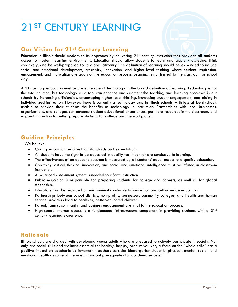## 21ST CENTURY LEARNING

## **Our Vision for 21st Century Learning**

Education in Illinois should modernize its approach by delivering  $21<sup>st</sup>$  century instruction that provides all students access to modern learning environments. Education should allow students to learn and apply knowledge, think creatively, and be well-prepared for a global citizenry. The definition of learning should be expanded to include social and emotional development, creativity, innovation, and higher-level thinking where student inspiration, engagement, and motivation are goals of the education process. Learning is not limited to the classroom or school day.

A 21<sup>st</sup> century education must address the role of technology in the broad definition of learning. Technology is not the total solution, but technology as a tool can enhance and augment the teaching and learning processes in our schools by increasing efficiencies, encouraging higher-level thinking, increasing student engagement, and aiding in individualized instruction. However, there is currently a technology gap in Illinois schools, with less affluent schools unable to provide their students the benefits of technology in instruction. Partnerships with local businesses, organizations, and colleges can enhance student educational experiences, put more resources in the classroom, and expand instruction to better prepare students for college and the workplace.

## **Guiding Principles**

We believe:

- Quality education requires high standards and expectations.
- All students have the right to be educated in quality facilities that are conducive to learning.
- The effectiveness of an education system is measured by all students' equal access to a quality education.
- Creativity, critical thinking, innovation, and social and emotional intelligence must be infused in classroom instruction.
- A balanced assessment system is needed to inform instruction.
- Public education is responsible for preparing students for college and careers, as well as for global citizenship.
- Educators must be provided an environment conducive to innovation and cutting-edge education.
- Partnerships between school districts, non-profits, businesses, community colleges, and health and human service providers lead to healthier, better-educated children.
- Parent, family, community, and business engagement are vital to the education process.
- High-speed internet access is a fundamental infrastructure component in providing students with a  $21<sup>st</sup>$ century learning experience.

## **Rationale**

Illinois schools are charged with developing young adults who are prepared to actively participate in society. Not only are social skills and wellness essential for healthy, happy, productive lives, a focus on the "whole child" has a positive impact on academic achievement. Teachers consider kindergarten students' physical, mental, social, and emotional health as some of the most important prerequisites for academic success.32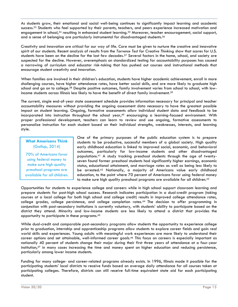As students grow, their emotional and social well-being continues to significantly impact learning and academic success.<sup>33</sup> Students who feel supported by their parents, teachers, and peers experience increased motivation and engagement in school,<sup>34</sup> resulting in enhanced student learning.<sup>35</sup> Moreover, teacher encouragement, social support, and a sense of belonging are particularly instrumental for disadvantaged students.<sup>36</sup>

Creativity and innovation are critical for our way of life. Care must be given to nurture the creative and innovative spirit of our students. Recent analysis of results from the *Torrence Test for Creative Thinking* show that scores for U.S. students have been on the decline for the last few decades.<sup>37</sup> Several factors in the home, school, and society are suspected for the decline. However, overemphasis on standardized testing for accountability purposes has caused a narrowing of curriculum and educator risk-taking that has pushed out courses and instructional methods that encourage student creativity and innovation.

When families are involved in their children's education, students have higher academic achievement, enroll in more challenging courses, have higher attendance rates, have better social skills, and are more likely to graduate high school and go on to college.<sup>38</sup> Despite positive outcomes, family involvement varies from school to school, with lowincome students across Illinois less likely to have the benefit of direct family involvement.<sup>39</sup>

The current, single end-of-year state assessment schedule provides information necessary for principal and teacher accountability measures without providing the ongoing assessment data necessary to have the greatest possible impact on student learning. Ongoing, formative assessments allow individual student data and feedback to be incorporated into instruction throughout the school year,<sup>40</sup> encouraging a learning-focused environment. With proper professional development, teachers can learn to review and use ongoing, formative assessments to personalize instruction for each student based on their individual strengths, weaknesses, interests, and learning style.

### **What Americans Think** (Gallup, 2014)

70% of Americans favor using federal money to make sure high quality preschool programs are available for all children. One of the primary purposes of the public education system is to prepare students to be productive, successful members of a global society. High quality early childhood education is linked to improved social, economic, and behavioral outcomes, particularly for low-income students and other disadvantaged populations.<sup>41</sup> A study tracking preschool students through the age of twentyseven found former preschool students had significantly higher earnings, economic status, educational attainment, and marriage rates as well as being less likely to be arrested.<sup>42</sup> Nationally, a majority of Americans value early childhood education, to the point where 70 percent of Americans favor using federal money to make sure high quality preschool programs are available for all children. 43

Opportunities for students to experience college and careers while in high school support classroom learning and prepare students for post-high school success. Research indicates participation in a dual-credit program (taking courses at a local college for both high school and college credit) results in improved college attendance rates, college grades, college persistence, and college completion rates.<sup>44</sup> The decision to offer programming in conjunction with post-secondary institutions is currently voluntary, with students' ability to participate based on the district they attend. Minority and low-income students are less likely to attend a district that provides the opportunity to participate in these programs. 45

While dual-credit and comparable post-secondary programs allow students the opportunity to experience college prior to graduation, internship and apprenticeship programs allow students to explore career fields and gain real world skills and experiences. Young adults with meaningful work experiences are more likely to understand their career options and set attainable, well-informed career goals.<sup>46</sup> This focus on careers is especially important as nationally 40 percent of students change their major during their first three years of attendance at a four-year institution,<sup>47</sup> in many cases increasing the time and money spent on higher education and reducing persistence, particularly among lower income students.

Funding for many college- and career-related programs already exists. In 1996, Illinois made it possible for the participating students' local districts to receive funds based on average daily attendance for all courses taken at participating colleges. Therefore, districts can still receive full-time equivalent state aid for each participating student.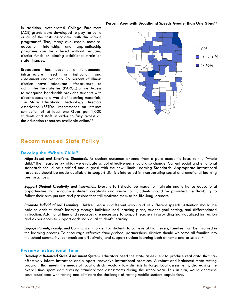#### **Percent Area with Broadband Speeds Greater than One Gbps<sup>48</sup>**

In addition, Accelerated College Enrollment (ACE) grants were developed to pay for some or all of the costs associated with dual-credit programs.<sup>49</sup> Thus, many dual-credit, technical education, internship, and apprenticeship programs can be offered without reducing district funds or placing additional strain on state finances.

Broadband has become a fundamental infrastructure need for instruction and assessment and yet only 26 percent of Illinois districts have adequate infrastructure to administer the state test (PARCC) online. Access to adequate bandwidth provides students with direct access to a world of learning materials. The State Educational Technology Directors Association (SETDA) recommends an internet connection of at least one Gbps per 1,000 students and staff in order to fully access all the education resources available online.<sup>50</sup>



## **Recommended State Policy**

### **Develop the "Whole Child"**

*Align Social and Emotional Standards.* As student outcomes expand from a pure academic focus to the "whole child," the measures by which we evaluate school effectiveness should also change. Current social and emotional standards should be clarified and aligned with the new Illinois Learning Standards. Appropriate instructional resources should be made available to support districts interested in incorporating social and emotional learning best practices.

Support Student Creativity and Innovation. Every effort should be made to maintain and enhance educational opportunities that encourage student creativity and innovation. Students should be provided the flexibility to follow their own pursuits and passions that will motivate them to be life-long learners.

*Promote Individualized Learning.* Children learn in different ways and at different speeds. Attention should be paid to each student's learning through individualized learning plans, student goal setting, and differentiated instruction. Additional time and resources are necessary to support teachers in providing individualized instruction and experiences to support each individual student's learning.

*Engage Parents, Family, and Community.* In order for students to achieve at high levels, families must be involved in the learning process. To encourage effective family-school partnerships, districts should welcome all families into the school community, communicate effectively, and support student learning both at home and at school.<sup>51</sup>

### **Preserve Instructional Time**

*Develop a Balanced State Assessment System.* Educators need the state assessment to produce real data that can effectively inform instruction and support innovative instructional practices. A robust and balanced state testing program that meets the needs of local districts would allow districts to forgo local assessments, decreasing the overall time spent administering standardized assessments during the school year. This, in turn, would decrease costs associated with testing and eliminate the challenge of testing mobile student populations.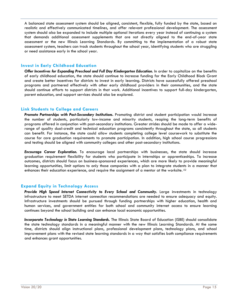A balanced state assessment system should be aligned, consistent, flexible, fully funded by the state, based on realistic and effectively communicated timelines, and offer relevant professional development. The assessment system should also be expanded to include multiple optional iterations every year instead of continuing a system that demands additional assessment supplements that are not directly aligned to the end-of-year state assessment or the new Illinois Learning Standards. By committing to the implementation of a robust state assessment system, teachers can track students throughout the school year, identifying students who are struggling or need assistance early in the school year.

### **Invest in Early Childhood Education**

*Offer Incentives for Expanding Preschool and Full Day Kindergarten Education.* In order to capitalize on the benefits of early childhood education, the state should continue to increase funding for the Early Childhood Block Grant and create better incentives for districts to invest in early learning. Districts have successfully offered preschool programs and partnered effectively with other early childhood providers in their communities, and the state should continue efforts to support districts in that work. Additional incentives to support full-day kindergarten, parent education, and support services should also be explored.

### **Link Students to College and Careers**

Promote Partnerships with Post-Secondary Institutions. Promoting district and student participation would increase the number of students, particularly low-income and minority students, reaping the long-term benefits of programs offered in conjunction with post-secondary institutions. Greater strides should be made to offer a widerange of quality dual-credit and technical education programs consistently throughout the state, so all students can benefit. For instance, the state could allow students completing college level coursework to substitute the course for core graduation requirements to promote participation. In addition, high school course progressions and testing should be aligned with community colleges and other post-secondary institutions.

*Encourage Career Exploration.* To encourage local partnerships with businesses, the state should increase graduation requirement flexibility for students who participate in internships or apprenticeships. To increase outcomes, districts should focus on business-sponsored experiences, which are more likely to provide meaningful learning opportunities, limit options to only those companies with a plan to integrate students in a manner that enhances their education experience, and require the assignment of a mentor at the worksite. <sup>52</sup>

### **Expand Equity in Technology Access**

*Provide High Speed Internet Connectivity to Every School and Community.* Large investments in technology infrastructure to meet SETDA internet connection recommendations are needed to ensure adequacy and equity. Infrastructure investments should be pursued through funding partnerships with higher education, health and human services, and government entities for both school and community internet access to ensure learning continues beyond the school building and can enhance local economic opportunities.

*Incorporate Technology in State Learning Standards.* The Illinois State Board of Education (ISBE) should consolidate the state technology standards in a meaningful manner with the new Illinois Learning Standards. At the same time, districts should align instructional plans, professional development plans, technology plans, and school improvement plans with the revised state learning standards in a way that satisfies both compliance requirements and enhances grant opportunities.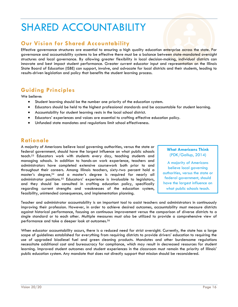## SHARED ACCOUNTABILITY

## **Our Vision for Shared Accountability**

Effective governance structures are essential to ensuring a high quality education enterprise across the state. For governance and accountability systems to be effective there must be a balance between state-mandated oversight structures and local governance. By allowing greater flexibility in local decision-making, individual districts can innovate and best impact student performance. Greater current educator input and representation on the Illinois State Board of Education (ISBE) can support, involve, and advocate for local districts and their students, leading to results-driven legislation and policy that benefits the student learning process.

## **Guiding Principles**

We believe:

- Student learning should be the number one priority of the education system.
- Educators should be held to the highest professional standards and be accountable for student learning.
- Accountability for student learning rests in the local school district.
- Educators' experiences and voices are essential to crafting effective education policy.
- Unfunded state mandates and regulations limit school effectiveness.

## **Rationale**

A majority of Americans believe local governing authorities, versus the state or federal government, should have the largest influence on what public schools teach.<sup>53</sup> Educators work with students every day, teaching students and managing schools. In addition to hands-on work experience, teachers and administrators have completed extensive coursework both prior to and throughout their careers. Among Illinois teachers, sixty-two percent hold a master's degree,<sup>54</sup> and a master's degree is required for nearly all administrator positions.<sup>55</sup> Educators' experience is invaluable to legislators, and they should be consulted in crafting education policy, specifically regarding current strengths and weaknesses of the education system, feasibility, unintended consequences, and implementation planning.

### **What Americans Think** (PDK/Gallup, 2014)

A majority of Americans believe local governing authorities, versus the state or federal government, should have the largest influence on what public schools teach.

Teacher and administrator accountability is an important tool to assist teachers and administrators in continuously improving their profession. However, in order to achieve desired outcomes, accountability must measure districts against historical performance, focusing on continuous improvement versus the comparison of diverse districts to a single standard or to each other. Multiple measures must also be utilized to provide a comprehensive view of performance and take a deeper look at outcomes.<sup>56</sup>

When educator accountability occurs, there is a reduced need for strict oversight. Currently, the state has a large scope of guidelines established for everything from requiring districts to provide drivers' education to requiring the use of upgraded biodiesel fuel and green cleaning products. Mandates and other burdensome regulations necessitate additional cost and bureaucracy for compliance, which may result in decreased resources for student learning. Improved student outcomes and student experiences in the classroom must remain the priority of Illinois' public education system. Any mandate that does not directly support that mission should be reconsidered.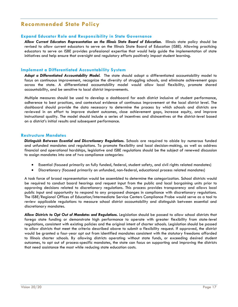### **Recommended State Policy**

### **Expand Educator Role and Responsibility in State Governance**

*Allow Current Educators Representation on the Illinois State Board of Education.* Illinois state policy should be revised to allow current educators to serve on the Illinois State Board of Education (ISBE). Allowing practicing educators to serve on ISBE provides professional expertise that would help guide the implementation of state initiatives and help ensure that oversight and regulatory efforts positively impact student learning.

### **Implement a Differentiated Accountability System**

*Adopt a Differentiated Accountability Model.* The state should adopt a differentiated accountability model to focus on continuous improvement, recognize the diversity of struggling schools, and eliminate achievement gaps across the state. A differentiated accountability model would allow local flexibility, promote shared accountability, and be sensitive to local district improvements.

Multiple measures should be used to develop a dashboard for each district inclusive of student performance, adherence to best practices, and contextual evidence of continuous improvement at the local district level. The dashboard should provide the data necessary to determine the process by which schools and districts are reviewed in an effort to improve student outcomes, close achievement gaps, increase equity, and improve instructional quality. The model should include a series of incentives and disincentives at the district-level based on a district's initial results and subsequent performance.

### **Restructure Mandates**

*Distinguish Between Essential and Discretionary Regulations.* Schools are required to abide by numerous funded and unfunded mandates and regulations. To promote flexibility and local decision-making, as well as address financial and operational hardships, legislative and ISBE regulations should be the subject of renewed discussion to assign mandates into one of two compliance categories:

- Essential (focused primarily on fully funded, federal, student safety, and civil rights related mandates)
- Discretionary (focused primarily on unfunded, non-federal, educational process related mandates)

A task force of broad representation would be assembled to determine the categorization. School districts would be required to conduct board hearings and request input from the public and local bargaining units prior to approving decisions related to discretionary regulations. This process provides transparency and allows local public input and opportunity to respond to any proposed changes in compliance with discretionary regulations. The ISBE/Regional Offices of Education/Intermediate Service Centers Compliance Probe would serve as a tool to review applicable regulations to measure school district accountability and distinguish between essential and discretionary mandates.

Allow Districts to Opt Out of Mandates and Regulations. Legislation should be passed to allow school districts that forego state funding or demonstrate high performance to operate with greater flexibility from state-level regulations, consistent with existing policies and the original intent of charter schools. Legislation should be passed to allow districts that meet the criteria described above to submit a flexibility request. If approved, the district would be granted a four-year opt out from identified mandates consistent with the statutory freedoms afforded to Illinois charter schools. By allowing districts operating without state funds, or exceeding desired student outcomes, to opt out of process-specific mandates, the state can focus on supporting and improving the districts that need assistance the most while reducing state education costs.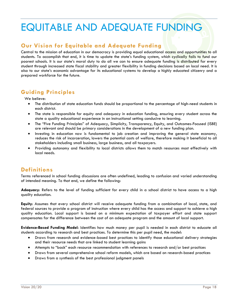## EQUITABLE AND ADEQUATE FUNDING

## **Our Vision for Equitable and Adequate Funding**

Central to the mission of education in our democracy is providing equal educational access and opportunities to all students. To accomplish that end, it is time to update the state's funding system, which cyclically fails to fund our poorest schools. It is our state's moral duty to do all we can to ensure adequate funding is distributed for every student through increased state fiscal stability and greater flexibility in funding decisions based on local need. It is also to our state's economic advantage for its educational systems to develop a highly educated citizenry and a prepared workforce for the future.

## **Guiding Principles**

We believe:

- The distribution of state education funds should be proportional to the percentage of high-need students in each district.
- The state is responsible for equity and adequacy in education funding, ensuring every student across the state a quality educational experience in an instructional setting conducive to learning.
- The "Five Funding Principles" of Adequacy, Simplicity, Transparency, Equity, and Outcomes-Focused (ISBE) are relevant and should be primary considerations in the development of a new funding plan.
- Investing in education now is fundamental to job creation and improving the general state economy, reduces the risk of incarceration, lowers the potential costs of welfare, therefore making it beneficial to all stakeholders including small business, large business, and all taxpayers.
- Providing autonomy and flexibility to local districts allows them to match resources most effectively with local needs.

## **Definitions**

Terms referenced in school funding discussions are often undefined, leading to confusion and varied understanding of intended meaning. To that end, we define the following:

**Adequacy**: Refers to the level of funding sufficient for every child in a school district to have access to a high quality education.

**Equity**: Assumes that every school district will receive adequate funding from a combination of local, state, and federal sources to provide a program of instruction where every child has the access and support to achieve a high quality education. Local support is based on a minimum expectation of taxpayer effort and state support compensates for the difference between the cost of an adequate program and the amount of local support.

**Evidence-Based Funding Model**: Identifies how much money per pupil is needed in each district to educate all students according to research and best practices. To determine this per pupil need, the model:

- Draws from research and evidence-based best practices to identify those educational delivery strategies and their resource needs that are linked to student learning gains
- Attempts to "back" each resource recommendation with references to research and/or best practices
- Draws from several comprehensive school reform models, which are based on research-based practices
- Draws from a synthesis of the best professional judgment panels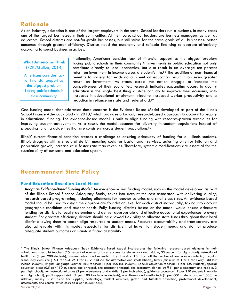### **Rationale**

As an industry, education is one of the largest employers in the state. School leaders run a business, in many cases one of the largest businesses in their communities. At their core, school leaders are business managers as well as educators. School districts are not-for-profit businesses, but still strive for the same goals of all businesses: better outcomes through greater efficiency. Districts need the autonomy and reliable financing to operate effectively according to sound business practices.

### **What Americans Think** (PDK/Gallup, 2014)

Americans consider lack of financial support as the biggest problem facing public schools in their community.

Nationally, Americans consider lack of financial support as the biggest problem facing public schools in their community.<sup>57</sup> Investments in public education not only contribute directly to local economies, but also result in an average ten percent return on investment in income across a student's life.<sup>58</sup> The addition of non-financial benefits to society for each dollar spent on education result in an even greater return on investment. As states across the nation struggle to increase the competiveness of their economies, research indicates expanding access to quality education is the single best thing a state can do to improve their economy, with increases in educational attainment linked to increased worker productivity and a reduction in reliance on state and federal aid.<sup>59</sup>

One funding model that addresses these concerns is the Evidence-Based Model developed as part of the Illinois School Finance Adequacy Study in 2010,<sup>\*</sup> which provides a logical, research-based approach to account for equity in educational funding. The evidence-based model is built to align funding with research-proven techniques for improving student achievement. As a result, the model accounts for diversity in student populations instead of proposing funding guidelines that are consistent across student populations.<sup>60</sup>

Illinois' current financial condition creates a challenge to ensuring adequacy of funding for all Illinois students. Illinois struggles with a structural deficit, meaning costs for basic human services, adjusting only for inflation and population growth, increase at a faster rate than revenues. Therefore, systemic modifications are essential for the sustainability of our state and education system.

## **Recommended State Policy**

### **Fund Education Based on Local Need**

*Adopt an Evidence-Based Funding Model.* An evidence-based funding model, such as the model developed as part of the Illinois School Finance Adequacy Study, takes into account the cost associated with delivering quality, research-based programming, including allotments for teacher salaries and small class sizes. An evidence-based model should be used to assign the appropriate foundation level for each district individually, taking into account geographic conditions and student needs. Fully funding districts based on the model would ensure adequate funding for districts to locally determine and deliver appropriate and effective educational experiences to every student. For greatest efficiency, districts should be allowed flexibility to allocate state funds throughout their local district allowing them to better align resources to student needs. Resource accountability and transparency are also achievable with this model, especially for districts that have high student needs and do not produce adequate student outcomes or maintain financial stability.

l

The Illinois School Finance Adequacy Study Evidenced-Based Model incorporates the following research-based elements in their calculations: specialist teachers (20 percent of number of core teachers for elementary and middle, 33 percent for high school), instructional facilitators (1 per 200 students), summer school and extended day class size (15:1 for half the number of low income students), regular school day class size (15:1 for K-3, 25:1 for 4-12, and 7:1 for alternative and small schools), tutors (minimum of 1 or 1 for every 100 low income students), English Language Learner (ELL) teachers (1 per 100 ELL students), special education teachers (1 per 150 students), special education aides (0.5 per 150 students), one principal, one assistant principal, one secretary, clerical staff (1 per elementary and middle, 3 per high school), non-instructional aides (2 per elementary and middle, 3 per high school), guidance counselors (1 per 250 students in middle and high school), pupil support staff (1 per 100 low income students), one library and media tech (1 per 600 students above 1,000). In addition, money is set aside for supplies, technology, student activities, gifted and talented education, professional development, assessments, and central office costs on a per student basis.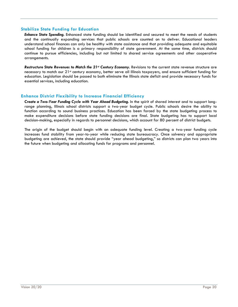### **Stabilize State Funding for Education**

*Enhance State Spending.* Enhanced state funding should be identified and secured to meet the needs of students and the continually expanding services that public schools are counted on to deliver. Educational leaders understand school finances can only be healthy with state assistance and that providing adequate and equitable school funding for children is a primary responsibility of state government. At the same time, districts should continue to pursue efficiencies, including but not limited to shared service agreements and other cooperative arrangements.

*Restructure State Revenues to Match the 21st Century Economy.* Revisions to the current state revenue structure are necessary to match our 21<sup>st</sup> century economy, better serve all Illinois taxpayers, and ensure sufficient funding for education. Legislation should be passed to both eliminate the Illinois state deficit and provide necessary funds for essential services, including education.

### **Enhance District Flexibility to Increase Financial Efficiency**

*Create a Two-Year Funding Cycle with Year Ahead Budgeting.* In the spirit of shared interest and to support longrange planning, Illinois school districts support a two-year budget cycle. Public schools desire the ability to function according to sound business practices. Education has been forced by the state budgeting process to make expenditure decisions before state funding decisions are final. State budgeting has to support local decision-making, especially in regards to personnel decisions, which account for 80 percent of district budgets.

The origin of the budget should begin with an adequate funding level. Creating a two-year funding cycle increases fund stability from year-to-year while reducing state bureaucracy. Once solvency and appropriate budgeting are achieved, the state should provide "year ahead budgeting," so districts can plan two years into the future when budgeting and allocating funds for programs and personnel.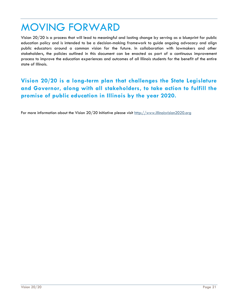## MOVING FORWARD

Vision 20/20 is a process that will lead to meaningful and lasting change by serving as a blueprint for public education policy and is intended to be a decision-making framework to guide ongoing advocacy and align public educators around a common vision for the future. In collaboration with lawmakers and other stakeholders, the policies outlined in this document can be enacted as part of a continuous improvement process to improve the education experiences and outcomes of all Illinois students for the benefit of the entire state of Illinois.

## **Vision 20/20 is a long-term plan that challenges the State Legislature and Governor, along with all stakeholders, to take action to fulfill the promise of public education in Illinois by the year 2020.**

For more information about the Vision 20/20 Initiative please visit [http://www.illinoisvision2020.org](http://www.illinoisvision2020.org/)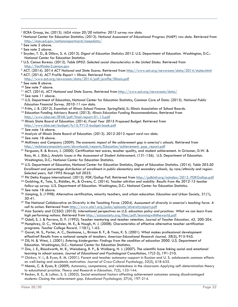<sup>2</sup> National Center for Education Statistics. (2013). *National Assessment of Educational Progress (NAEP) raw data.* Retrieved from <http://nces.ed.gov/nationsreportcard/naepdata/>

- <sup>7</sup> ACT. (2014). *2014 ACT National and State Scores*. Retrieved from<http://www.act.org/newsroom/data/2014/states.html>
- <sup>8</sup> ACT. (2014). *ACT Profile Report – Illinois*. Retrieved from <http://www.act.org/newsroom/data/2014/pdf/profile/Illinois.pdf>

<sup>11</sup> ACT. (2014). *ACT National and State Scores*. Retrieved from<http://www.act.org/newsroom/data/>

- <sup>13</sup> U.S. Department of Education, National Center for Education Statistics, Common Core of Data. (2013). *National Public Education Financial Survey, 2010-11 raw data.*
- <sup>14</sup> Fritts, J. B. (2012). *Essentials of Illinois School Finance*. Springfield, IL: Illinois Association of School Boards.
- <sup>15</sup> Education Funding Advisory Board. (2013). *Illinois Education Funding Recommendations.* Retrieved from <http://www.isbe.net/EFAB/pdf/final-report-01-13.pdf>
- <sup>16</sup> Illinois State Board of Education. (2014). *Fiscal Year 2015 Proposed Budget*. Retrieved from <http://www.isbe.net/budget/fy15/FY15-budget-book.pdf>
- <sup>17</sup> See note 16 above.
- <sup>18</sup> Analysis of Illinois State Board of Education. (2013). *2012-2013 report card raw data.*
- <sup>19</sup> See note 18 above.
- <sup>20</sup> McKinsey and Company (2009). *The economic impact of the achievement gap in america's schools*. Retrieved from [http://mckinseyonsociety.com/downloads/reports/Education/achievement\\_gap\\_report.pdf](http://mckinseyonsociety.com/downloads/reports/Education/achievement_gap_report.pdf)
- <sup>21</sup> Ferguson, R. & Brown, J. (2000). Certification test scores, teacher quality, and student achievement*.* In Grissmer, D.W. & Ross, M. J. (Eds.), *Analytic Issues in the Assessment of Student Achievement,* (131-156). U.S. Department of Education. Washington, D.C.: National Center for Education Statistics.
- <sup>22</sup> U.S. Department of Education, National Center for Education Statistics, Digest of Education Statistics. (2014). *Table 203.50 Enrollment and percentage distribution of enrollment in public elementary and secondary schools, by race/ethnicity and region: Selected years, fall 1995 through fall 2023.*
- <sup>23</sup> Phi Delta Kappa International. (2013). *PDK/Gallup Poll*. Retrieved from [http://pdkintl.org/noindex/2013\\_PDKGallup.pdf](http://pdkintl.org/noindex/2013_PDKGallup.pdf)
- <sup>24</sup> Goldring, R., Taie, S., Riddles, M., & Owens, C. (2014). *Teacher attrition and mobility: Results from the 2012-13 teacher follow-up survey.* U.S. Department of Education. Washington, D.C.: National Center for Education Statistics.
- <sup>25</sup> See note 18 above.
- <sup>26</sup> Jianping, S. (1998). Alternative certification, minority teachers, and urban education. *Education and Urban Society, 31(*1), 30-41.
- <sup>27</sup> The National Collaborative on Diversity in the Teaching Force. (2004). *Assessment of diversity in america's teaching force: A call to action*. Retrieved from<http://www.ate1.org/pubs/uploads/diversityreport.pdf>
- <sup>28</sup> Asia Society and CCSSO. (2010). *International perspectives on U.S. education policy and practices: What we can learn from high performing nations*. Retrieved from<http://asiasociety.org/files/pdf/learningwiththeworld.pdf>
- <sup>29</sup> Odell, S. J. & Ferraro, D. P. (1992). Teacher mentoring and teacher retention. *Journal of Teacher Education, 42,* 200-204.
- <sup>30</sup> Humphrey, D. C., Wechsler, M. E., & Hough, H. J. (2008). Characteristics of effective alternative teacher certification programs. *Teacher College Record, 110*(1), 1-63.
- <sup>31</sup> Garet, M. S., Porter, A. C., Desimone, L., Birman B. F., & Yoon, K. S. (2001). What makes professional development effective? Results from a national sample of teachers. *American Educational Research Journal, 38*(5), 915-945.
- <sup>32</sup> Zill, N. & West, J. (2001). *Entering kindergarten: Findings from the condition of education 2000.* U.S. Department of Education. Washington, D.C.: National Center for Education Statistics.
- 33 Zins, J. E., Bloodworth, M. R., Weissberg, R. P., & Walberg, H. J. (2007). The scientific base linking social and emotional learning to school success. *Journal of Educational and Psychological Consultation*, *17*(2-3), 191-210.
- 34 Chirkov, V. I., & Ryan, R. M. (2001). Parent and teacher autonomy-support in Russian and U. S. adolescents common effects on well-being and academic motivation. *Journal of Cross-Cultural Psychology*, *32*(5), 618-635.
- <sup>35</sup> Niemic, C. & Ryan, R. (2009). Autonomy, competence, and relatedness in the classroom: Applying self-determination theory to educational practice. *Theory and Research in Education, 7*(2), 133-144.
- <sup>36</sup> Becker, B. E., & Luthar, S. S. (2002). Social-emotional factors affecting achievement outcomes among disadvantaged students: Closing the achievement gap. *Educational Psychologist*, *37*(4), 197-214.

 $\overline{a}$ <sup>1</sup> ECRA Group, Inc. (2013). *IASA vision 20/20 initiative: 2013 survey raw data.*

<sup>&</sup>lt;sup>3</sup> See note 2 above.

<sup>4</sup> See note 2 above.

<sup>5</sup> Snyder, T. D., & Dillow, S. A. (2013). *Digest of Education Statistics 2012.* U.S. Department of Education. Washington, D.C.: National Center for Education Statistics.

<sup>6</sup> U.S. Census Bureau. (2012). *Table DP02: Selected social characteristics in the United States.* Retrieved from [http://factfinder2.census.gov](http://factfinder2.census.gov/)

<sup>&</sup>lt;sup>9</sup> See note 8 above.

<sup>&</sup>lt;sup>10</sup> See note 7 above.

<sup>&</sup>lt;sup>12</sup> See note 11 above.